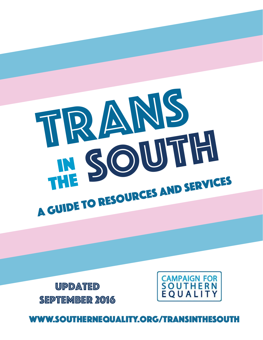# www.southernequality.org/transinthesouth

Updated September 2016



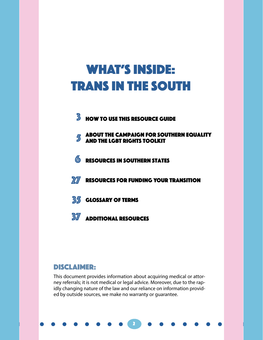# WHAT'S INSIDE: Trans in the South

- $3$  **How to use this resource guide**
- 5 About the Campaign for Southern Equality and the lgbt rights toolkit
- **6** RESOURCES IN SOUTHERN STATES
- **27** RESOURCES FOR FUNDING YOUR TRANSITION
- **35 GLOSSARY OF TERMS**
- **37** Additional Resources

# DISCLAIMER:

This document provides information about acquiring medical or attorney referrals; it is not medical or legal advice. Moreover, due to the rapidly changing nature of the law and our reliance on information provided by outside sources, we make no warranty or guarantee.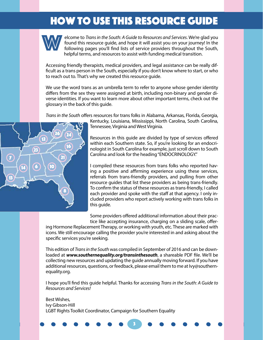# How To Use This Resource Guide How To Use This Resource Guide



eld<br>fol<br>he elcome to *Trans in the South: A Guide to Resources and Services*. We're glad you found this resource guide, and hope it will assist you on your journey! In the following pages you'll find lists of service providers throughout the South, helpful terms, and resources to assist with funding medical transition.

Accessing friendly therapists, medical providers, and legal assistance can be really difficult as a trans person in the South, especially if you don't know where to start, or who to reach out to. That's why we created this resource guide.

We use the word trans as an umbrella term to refer to anyone whose gender identity differs from the sex they were assigned at birth, including non-binary and gender diverse identities. If you want to learn more about other important terms, check out the glossary in the back of this guide.

*Trans in the South* offers resources for trans folks in Alabama, Arkansas, Florida, Georgia,



Kentucky, Louisiana, Mississippi, North Carolina, South Carolina, Tennessee, Virginia and West Virginia.

Resources in this guide are divided by type of services offered within each Southern state. So, if you're looking for an endocrinologist in South Carolina for example, just scroll down to South Carolina and look for the heading "ENDOCRINOLOGY."

I compiled these resources from trans folks who reported having a positive and affirming experience using these services, referrals from trans-friendly providers, and pulling from other resource guides that list these providers as being trans-friendly. To confirm the status of these resources as trans-friendly, I called each provider and spoke with the staff at that agency. I only included providers who report actively working with trans folks in this guide.

Some providers offered additional information about their practice like accepting insurance, charging on a sliding scale, offer-

ing Hormone Replacement Therapy, or working with youth, etc. These are marked with icons. We still encourage calling the provider you're interested in and asking about the specific services you're seeking.

This edition of *Trans in the South* was compiled in September of 2016 and can be downloaded at *www.southernequality.org/transinthesouth*, a shareable PDF file. We'll be collecting new resources and updating the guide annually moving forward. If you have additional resources, questions, or feedback, please email them to me at Ivy@southernequality.org.

I hope you'll find this guide helpful. Thanks for accessing *Trans in the South: A Guide to Resources and Services!*

Best Wishes, Ivy Gibson-Hill LGBT Rights Toolkit Coordinator, Campaign for Southern Equality

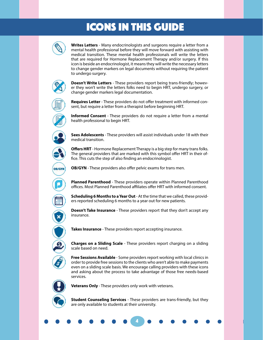# ICONS IN THIS GUIDE



**Writes Letters** - Many endocrinologists and surgeons require a letter from a mental health professional before they will move forward with assisting with medical transition. These mental health professionals will write the letters that are required for Hormone Replacement Therapy and/or surgery. If this icon is beside an endocrinologist, it means they will write the necessary letters to change gender markers on legal documents without requiring the patient to undergo surgery.



**Doesn't Write Letters** - These providers report being trans-friendly; however they won't write the letters folks need to begin HRT, undergo surgery, or change gender markers legal documentation.



**Requires Letter** - These providers do not offer treatment with informed consent, but require a letter from a therapist before beginning HRT.



**Informed Consent** - These providers do not require a letter from a mental health professional to begin HRT.



**OB/GYM** 

**Sees Adolescents** - These providers will assist individuals under 18 with their medical transition.

**Offers HRT** - Hormone Replacement Therapy is a big step for many trans folks. The general providers that are marked with this symbol offer HRT in their office. This cuts the step of also finding an endocrinologist.

**OB/GYN** - These providers also offer pelvic exams for trans men.

**Planned Parenthood** - These providers operate within Planned Parenthood offices. Most Planned Parenthood affiliates offer HRT with informed consent.

**Scheduling 6 Months to a Year Out** - At the time that we called, these providers reported scheduling 6 months to a year out for new patients.

**Doesn't Take Insurance** - These providers report that they don't accept any insurance.



**Takes Insurance** - These providers report accepting insurance.



**Charges on a Sliding Scale** - These providers report charging on a sliding scale based on need.

**Free Sessions Available** - Some providers report working with local clinics in order to provide free sessions to the clients who aren't able to make payments even on a sliding scale basis. We encourage calling providers with these icons and asking about the process to take advantage of those free needs-based services.



**Veterans Only** - These providers only work with veterans.

**Student Counseling Services** - These providers are trans-friendly, but they are only available to students at their university.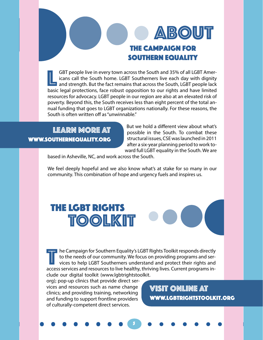# the campaign for southern equality **ABOUT**

GBT people live in every town across the South and 35% of all LGBT Americans call the South home. LGBT Southerners live each day with dignity and strength. But the fact remains that across the South, LGBT people lack hasic icans call the South home. LGBT Southerners live each day with dignity and strength. But the fact remains that across the South, LGBT people lack basic legal protections, face robust opposition to our rights and have limited resources for advocacy. LGBT people in our region are also at an elevated risk of poverty. Beyond this, the South receives less than eight percent of the total annual funding that goes to LGBT organizations nationally. For these reasons, the South is often written off as "unwinnable."

# LEARN MORE AT www.southernequality.org

But we hold a different view about what's possible in the South. To combat these structural issues, CSE was launched in 2011 after a six-year planning period to work toward full LGBT equality in the South. We are

based in Asheville, NC, and work across the South.

We feel deeply hopeful and we also know what's at stake for so many in our community. This combination of hope and urgency fuels and inspires us.

# The LGBT RIGHTS TOOLKIT

T he Campaign for Southern Equality's LGBT Rights Toolkit responds directly<br>to the needs of our community. We focus on providing programs and services to help LGBT Southerners understand and protect their rights and<br>access to the needs of our community. We focus on providing programs and services to help LGBT Southerners understand and protect their rights and access services and resources to live healthy, thriving lives. Current programs include our digital toolkit (www.lgbtrightstoolkit.

55

org); pop-up clinics that provide direct services and resources such as name change clinics; and providing training, networking and funding to support frontline providers of culturally-competent direct services.

VISIT ONLINE AT www.lgbtrightstoolkit.org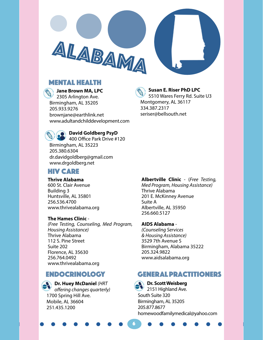# Mental Health

**Jane Brown MA, LPC** 2305 Arlington Ave. Birmingham, AL 35205 205.933.9276 brownjane@earthlink.net www.adultandchilddevelopment.com

ALABAMA

# **Susan E. Riser PhD LPC**

5510 Wares Ferry Rd. Suite U3 Montgomery, AL 36117 334.387.2317 seriser@bellsouth.net



# **David Goldberg PsyD**

400 Office Park Drive #120 Birmingham, AL 35223 205.380.6304 dr.davidgoldberg@gmail.com www.drgoldberg.net

# HIV CARE

**Thrive Alabama** 600 St. Clair Avenue Building 3 Huntsville, AL 35801 256.536.4700 www.thrivealabama.org

# **The Hames Clinic** -

*(Free Testing, Counseling, Med Program, Housing Assistance)* Thrive Alabama 112 S. Pine Street Suite 202 Florence, AL 35630 256.764.0492 www.thrivealabama.org

**Dr. Huey McDaniel** *(HRT offering changes quarterly)* 1700 Spring Hill Ave. Mobile, AL 36604 251.435.1200

**Albertville Clinic** - (*Free Testing, Med Program, Housing Assistance)* Thrive Alabama 201 E. McKinney Avenue Suite A Albertville, AL 35950 256.660.5127

**AIDS Alabama** - *(Counseling Services & Housing Assistance)* 3529 7th Avenue S Birmingham, Alabama 35222 205.324.9822 www.aidsalabama.org

# ENDOCRINOLOGY GENERAL Practitioners

**Dr. Scott Weisberg**  2151 Highland Ave. South Suite 320 Birmingham, AL 35205 205.877.8677 homewoodfamilymedical@yahoo.com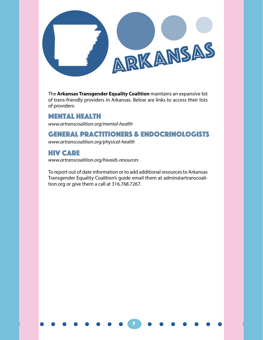

The **Arkansas Transgender Equality Coalition** maintains an expansive list of trans-friendly providers in Arkansas. Below are links to access their lists of providers:

# Mental Health

*www.artranscoalition.org/mental-health*

# General Practitioners & Endocrinologists

*www.artranscoalition.org/physical-health*

# HIV CARE

*www.artranscoalition.org/hivaids-resources*

To report out of date information or to add additional resources to Arkansas Transgender Equality Coalition's guide email them at admin@artranscoalition.org or give them a call at 316.768.7267.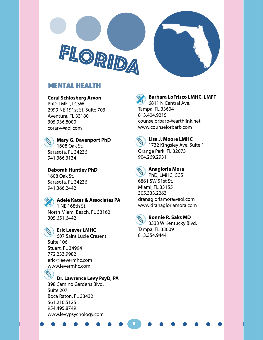



# Mental Health

# **Coral Schlosberg Arvon**

PhD, LMFT, LCSW 2999 NE 191st St. Suite 703 Aventura, FL 33180 305.936.8000 corarv@aol.com



**Deborah Huntley PhD** 1608 Oak St. Sarasota, FL 34236 941.366.2442



# **Eric Leever LMHC**

607 Saint Lucie Cresent Suite 106 Stuart, FL 34994 772.233.9982 eric@leevermhc.com www.levermhc.com

# **Dr. Lawrence Levy PsyD, PA**

398 Camino Gardens Blvd. Suite 207 Boca Raton, FL 33432 561.210.5125 954.495.8749 www.levypsychology.com

**Barbara LoFrisco LMHC, LMFT**  6811 N Central Ave. Tampa, FL 33604 813.404.9215 counselorbarb@earthlink.net

www.counselorbarb.com



**Lisa J. Moore LMHC** 

1732 Kingsley Ave. Suite 1 Orange Park, FL 32073 904.269.2931



# **Anagloria Mora**

PhD, LMHC, CCS 6861 SW 51st St. Miami, FL 33155 305.333.2263 dranagloriamora@aol.com www.dranagloriamora.com



8

# **Bonnie R. Saks MD**

3333 W Kentucky Blvd. Tampa, FL 33609 813.354.9444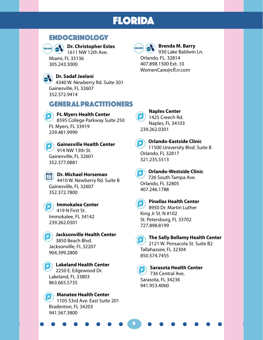# FLORIDA

# ENDOCRINOLOGY



**Dr. Christopher Estes** 1611 NW 12th Ave.

Miami, FL 33136 305.243.3000

# **Dr. Sadaf Jeelani**

4340 W. Newberry Rd. Suite 301 Gainesville, FL 32607 352.372.9414

# GENERAL Practitioners

**Ft. Myers Health Center** 8595 College Parkway Suite 250 Ft. Myers, FL 33919 239.481.9999

**Gainesville Health Center** 914 NW 13th St. Gainesville, FL 32601 352.377.0881

**Dr. Michael Horseman** 4410 W. Newberry Rd. Suite B Gainesville, FL 32607 352.372.7800

**Immokalee Center** 419 N First St. Immokalee, FL 34142 239.262.0301

**Jacksonville Health Center** 3850 Beach Blvd. Jacksonville, FL 32207 904.399.2800

**Lakeland Health Center** 2250 E. Edgewood Dr. Lakeland, FL 33803 863.665.5735

**Manatee Health Center** 1105 53rd Ave. East Suite 201 Bradenton, FL 34203 941.567.3800



# **Brenda M. Barry**

930 Lake Baldwin Ln. Orlando, FL. 32814 407.898.1500 Ext. 10 WomenCare@cfl.rr.com



**Naples Center 1425 Creech Rd.** Naples, FL 34103 239.262.0301



# **Orlando-Eastside Clinic** 11500 University Blvd. Suite B

Orlando, FL 32817 321.235.5513



# **Orlando-Westside Clinic**

726 South Tampa Ave. Orlando, FL 32805 407.246.1788

9

# **Pinellas Health Center**

8950 Dr. Martin Luther King Jr St. N #102 St. Petersburg, FL 33702 727.898.8199

# **The Sally Bellamy Health Center**

2121 W. Pensacola St. Suite B2 Tallahassee, FL 32304 850.574.7455

**Sarasota Health Center** 736 Central Ave. Sarasota, FL 34236 941.953.4060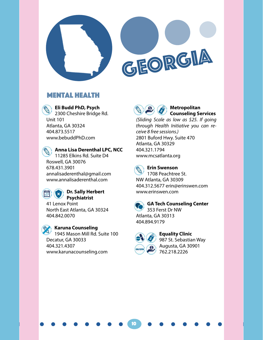



# Mental Health

**Eli Budd PhD, Psych** 

2300 Cheshire Bridge Rd. Unit 101 Atlanta, GA 30324 404.873.5517 www.bebuddPhD.com

**Anna Lisa Derenthal LPC, NCC** 11285 Elkins Rd. Suite D4 Roswell, GA 30076 678.431.3901 annalisaderenthal@gmail.com www.annalisaderenthal.com



# **Dr. Sally Herbert Psychiatrist**

41 Lenox Point North East Atlanta, GA 30324 404.842.0070

**Karuna Counseling** 1945 Mason Mill Rd. Suite 100 Decatur, GA 30033 404.321.4307 www.karunacounseling.com



### **Metropolitan Counseling Services**

*(Sliding Scale as low as \$25. If going through Health Initiative you can receive 8 free sessions.)* 2801 Buford Hwy. Suite 470 Atlanta, GA 30329 404.321.1794 www.mcsatlanta.org



### **Erin Swenson** 1708 Peachtree St.

NW Atlanta, GA 30309 404.312.5677 erin@erinswen.com www.erinswen.com

10

**GA Tech Counseling Center** 353 Ferst Dr NW Atlanta, GA 30313 404.894.9179



**Equality Clinic** 987 St. Sebastian Way Augusta, GA 30901 762.218.2226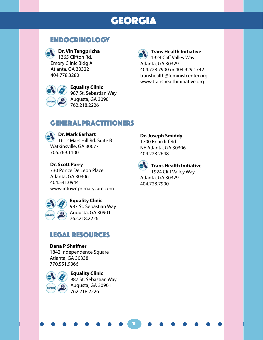# GEORGIA

# **ENDOCRINOLOGY**



# **Dr. Vin Tangpricha**

1365 Clifton Rd. Emory Clinic Bldg A Atlanta, GA 30322 404.778.3280



**Equality Clinic** 987 St. Sebastian Way Augusta, GA 30901 762.218.2226

**Trans Health Initiative** 1924 Cliff Valley Way

Atlanta, GA 30329 404.728.7900 or 404.929.1742 transhealth@feministcenter.org www.transhealthinitiative.org

# GENERAL Practitioners

# **Dr. Mark Earhart**

1612 Mars Hill Rd. Suite B Watkinsville, GA 30677 706.769.1100

# **Dr. Scott Parry**

730 Ponce De Leon Place Atlanta, GA 30306 404.541.0944 www.intownprimarycare.com



**Equality Clinic** 987 St. Sebastian Way Augusta, GA 30901

762.218.2226

# LEGAL RESOURCES

# **Dana P Shaffner** 1842 Independence Square Atlanta, GA 30338 770.551.9366



**Equality Clinic** 987 St. Sebastian Way Augusta, GA 30901 762.218.2226

# **Dr. Joseph Smiddy**

1700 Briarcliff Rd. NE Atlanta, GA 30306 404.228.2648



11

# **Trans Health Initiative**

1924 Cliff Valley Way Atlanta, GA 30329 404.728.7900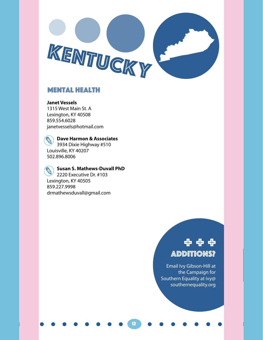

12

# Mental Health

**Janet Vessels**

1315 West Main St. A Lexington, KY 40508 859.554.6028 janetvessels@hotmail.com

**Dave Harmon & Associates**  3934 Dixie Highway #510 Louisville, KY 40207 502.896.8006

**Susan S. Mathews-Duvall PhD** 2220 Executive Dr. #103 Lexington, KY 40505 859.227.9998 drmathewsduvall@gmail.com

# Additions? + + +

Email Ivy Gibson-Hill at the Campaign for Southern Equality at ivy@ southernequality.org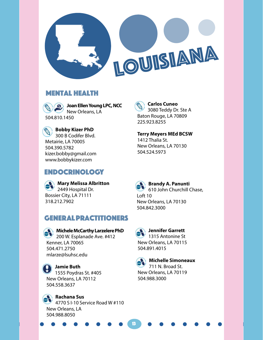

# Mental Health

**Joan Ellen Young LPC, NCC** New Orleans, LA 504.810.1450

**Bobby Kizer PhD** 300 B Codifer Blvd. Metairie, LA 70005 504.390.5782 kizer.bobby@gmail.com www.bobbykizer.com

# Endocrinology

**Mary Melissa Albritton**  2449 Hospital Dr. Bossier City, LA 71111 318.212.7902

# GENERAL Practitioners

**Michele McCarthy Larzelere PhD** 200 W. Esplanade Ave. #412 Kenner, LA 70065 504.471.2750 mlarze@lsuhsc.edu

**Jamie Buth**  1555 Poydras St. #405 New Orleans, LA 70112 504.558.3637

**Rachana Sus** 4770 S I-10 Service Road W #110 New Orleans, LA 504.988.8050

**Carlos Cuneo** 3080 Teddy Dr. Ste A Baton Rouge, LA 70809 225.923.8255

**Terry Meyers MEd BCSW** 1412 Thalia St. New Orleans, LA 70130 504.524.5973

**Brandy A. Panunti** 610 John Churchill Chase, Loft 10 New Orleans, LA 70130 504.842.3000



# **A** Jennifer Garrett

 $'$  1315 Antonine St New Orleans, LA 70115 504.891.4015

13

**Michelle Simoneaux**  711 N. Broad St. New Orleans, LA 70119 504.988.3000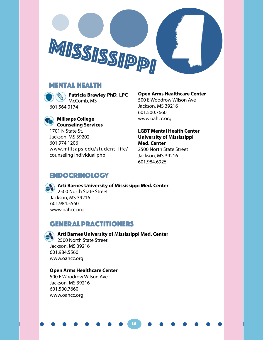

# Mental Health



**Patricia Brawley PhD, LPC**  McComb, MS

# **Millsaps College Counseling Services**

1701 N State St. Jackson, MS 39202 601.974.1206 www.millsaps.edu/student\_life/ counseling individual.php

# **Open Arms Healthcare Center**

500 E Woodrow Wilson Ave Jackson, MS 39216 601.500.7660 www.oahcc.org

**LGBT Mental Health Center University of Mississippi Med. Center** 2500 North State Street Jackson, MS 39216 601.984.6925

# ENDOCRINOLOGY



**Arti Barnes University of Mississippi Med. Center** 2500 North State Street Jackson, MS 39216 601.984.5560 www.oahcc.org

# GENERAL Practitioners



**Arti Barnes University of Mississippi Med. Center**  2500 North State Street

14

Jackson, MS 39216 601.984.5560 www.oahcc.org

# **Open Arms Healthcare Center**

500 E Woodrow Wilson Ave Jackson, MS 39216 601.500.7660 www.oahcc.org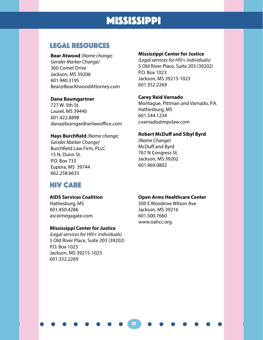# MISSISSIPPI

# LEGAL RESOURCES

**Bear Atwood** (*Name change; Gender Marker Change)* 360 Comet Drive Jackson, MS 39206 601.940.3195 Bear@BearAtwoodAttorney.com

# **Dana Baumgartner**

727 W. 5th St. Laurel, MS 39440 601.422.8898 dana@bumgardnerlawoffice.com

### **Hays Burchfield** *(Name change;*

*Gender Marker Change)* Burchfield Law Firm, PLLC 15 N. Dunn St. P.O. Box 733 Eupora, MS 39744 662.258.6633

# HIV CARE

# **AIDS Services Coalition**

Hattiesburg, MS 601.450.4286 asc@megagate.com

# **Mississippi Center for Justice**

*(Legal services for HIV+ individuals)* 5 Old River Place, Suite 203 (39202) P.O. Box 1023 Jackson, MS 39215-1023 601.352.2269

# **Mississippi Center for Justice**

*(Legal services for HIV+ individuals)* 5 Old River Place, Suite 203 (39202) P.O. Box 1023 Jackson, MS 39215-1023 601.352.2269

# **Carey Reid Varnado**

Montague, Pittman and Varnado, P.A. Hattiesburg, MS 601.544.1234 cvarnado@mpvlaw.com

# **Robert McDuff and Sibyl Byrd**

*(Name Change)* McDuff and Byrd 767 N Congress St. Jackson, MS 39202 601.969.0802

# **Open Arms Healthcare Center**

500 E Woodrow Wilson Ave Jackson, MS 39216 601.500.7660 www.oahcc.org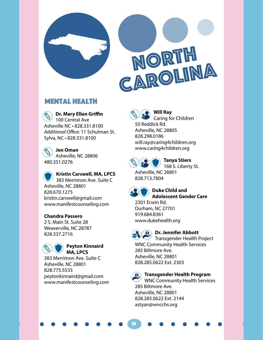

# Mental Health

**Dr. Mary Ellen Griffin** 100 Central Ave Asheville NC • 828.331.8100 *Additional Office:* 11 Schulman St. Sylva, NC • 828.331.8100

**Jen Oman** Asheville, NC 28806 480.351.0276

**Kristin Carswell, MA, LPCS** 383 Merrimon Ave. Suite C Asheville, NC 28801 828.670.1275 kristin.carswell@gmail.com www.manifestcounseling.com

# **Chandra Passero**

2 S. Main St. Suite 28 Weaverville, NC 28787 828.337.2716



# **Peyton Kinnaird MA, LPCS**

383 Merrimon Ave. Suite C Asheville, NC 28801 828.775.5535 peytonkinnaird@gmail.com www.manifestcounseling.com

**Will Ray** Caring for Children 50 Reddick Rd. Asheville, NC 28805 828.298.0186 will.ray@caring4children.org www.caring4children.org



### **Tanya Stiers** 168 S. Liberty St.

Asheville, NC 28801 828.713.7804



**Duke Child and Adolescent Gender Care**

2301 Erwin Rd. Durham, NC 27701 919.684.8361 www.dukehealth.org



16

# **Dr. Jennifer Abbott**

Transgender Health Project WNC Community Health Services 285 Biltmore Ave. Asheville, NC 28801 828.285.0622 Ext. 2303

# **Transgender Health Program**

WNC Community Health Services 285 Biltmore Ave. Asheville, NC 28801 828.285.0622 Ext. 2144 astyan@wncchs.org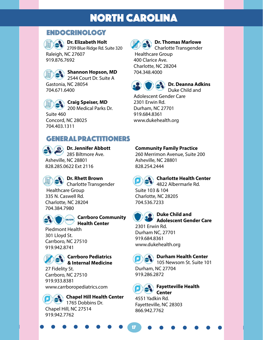# **ENDOCRINOLOGY**

# **Dr. Elizabeth Holt**

2709 Blue Ridge Rd. Suite 320 Raleigh, NC 27607 919.876.7692



**Shannon Hopson, MD** 2544 Court Dr. Suite A

Gastonia, NC 28054 704.671.6400



**Craig Speiser, MD** 200 Medical Parks Dr.

Suite 460 Concord, NC 28025 704.403.1311



# **Dr. Thomas Marlowe**

Charlotte Transgender Healthcare Group

400 Clarice Ave. Charlotte, NC 28204 704.348.4000



### **Dr. Deanna Adkins** Duke Child and

Adolescent Gender Care 2301 Erwin Rd. Durham, NC 27701 919.684.8361 www.dukehealth.org

# GENERAL Practitioners



**Dr. Jennifer Abbott** 285 Biltmore Ave. Asheville, NC 28801 828.285.0622 Ext 2116



# **Dr. Rhett Brown**

Charlotte Transgender Healthcare Group 335 N. Caswell Rd. Charlotte, NC 28204 704.384.7980



# **Carrboro Community Health Center**

Piedmont Health 301 Lloyd St. Carrboro, NC 27510 919.942.8741

# **Carrboro Pediatrics & Internal Medicine**

27 Fidelity St. Carrboro, NC 27510 919.933.8381 www.carrboropediatrics.com

**Chapel Hill Health Center** 1765 Dobbins Dr. Chapel Hill, NC 27514 919.942.7762

# **Community Family Practice**

260 Merrimon Avenue, Suite 200 Asheville, NC 28801 828.254.2444



# **Charlotte Health Center**

4822 Albermarle Rd. Suite 103 & 104

Charlotte, NC 28205 704.536.7233



# **Duke Child and Adolescent Gender Care**

2301 Erwin Rd. Durham NC, 27701 919.684.8361 www.dukehealth.org

# **Durham Health Center**

105 Newsom St. Suite 101 Durham, NC 27704 919.286.2872



17

# **R** Fayetteville Health **Center**

4551 Yadkin Rd. Fayetteville, NC 28303 866.942.7762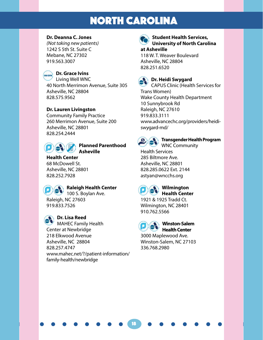# **Dr. Deanna C. Jones**

*(Not taking new patients)* 1242 S 5th St. Suite C Mebane, NC 27302 919.563.3007



# **OR/GRM** Dr. Grace Ivins

Living Well WNC 40 North Merrimon Avenue, Suite 305 Asheville, NC 28804 828.575.9562

# **Dr. Lauren Livingston**

Community Family Practice 260 Merrimon Avenue, Suite 200 Asheville, NC 28801 828.254.2444



### **Planned Parenthood Asheville**

# **Health Center**

68 McDowell St. Asheville, NC 28801 828.252.7928



# **Raleigh Health Center**

100 S. Boylan Ave. Raleigh, NC 27603 919.833.7526

# **Dr. Lisa Reed**

MAHEC Family Health Center at Newbridge 218 Elkwood Avenue Asheville, NC 28804 828.257.4747 www.mahec.net/?/patient-information/ family-health/newbridge



### **Student Health Services, University of North Carolina at Asheville**

118 W. T. Weaver Boulevard Asheville, NC 28804 828.251.6520



# **Dr. Heidi Swygard**

CAPUS Clinic (Health Services for Trans Women) Wake County Health Department 10 Sunnybrook Rd Raleigh, NC 27610 919.833.3111 www.advancechc.org/providers/heidiswygard-md/



# **Transgender Health Program**

WNC Community Health Services 285 Biltmore Ave. Asheville, NC 28801

828.285.0622 Ext. 2144 astyan@wncchs.org



# **Wilmington**

**Health Center** 1921 & 1925 Tradd Ct. Wilmington, NC 28401 910.762.5566

18

**Winston-Salem Health Center** 

3000 Maplewood Ave. Winston-Salem, NC 27103 336.768.2980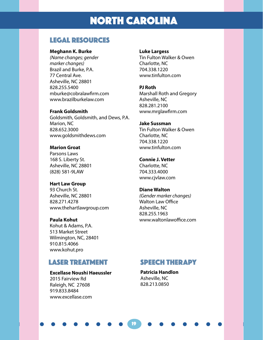# LEGAL RESOURCES

### **Meghann K. Burke**

*(Name changes; gender marker changes)* Brazil and Burke, P.A. 77 Central Ave. Asheville, NC 28801 828.255.5400 mburke@cobralawfirm.com www.brazilburkelaw.com

# **Frank Goldsmith**

Goldsmith, Goldsmith, and Dews, P.A. Marion, NC 828.652.3000 www.goldsmithdews.com

### **Marion Groat**

Parsons Laws 168 S. Liberty St. Asheville, NC 28801 (828) 581-9LAW

### **Hart Law Group**

93 Church St. Asheville, NC 28801 828.271.4278 www.thehartlawgroup.com

# **Paula Kohut**

Kohut & Adams, P.A. 513 Market Street Wilmington, NC, 28401 910.815.4066 www.kohut.pro

# Laser TREATMENT

# **Excellase Noushi Haeussler**

2015 Fairview Rd Raleigh, NC 27608 919.833.8484 www.excellase.com

### **Luke Largess**

Tin Fulton Walker & Owen Charlotte, NC 704.338.1220 www.tinfulton.com

### **PJ Roth**

Marshall Roth and Gregory Asheville, NC 828.281.2100 www.mrglawfirm.com

### **Jake Sussman**

Tin Fulton Walker & Owen Charlotte, NC 704.338.1220 www.tinfulton.com

### **Connie J. Vetter**

Charlotte, NC 704.333.4000 www.cjvlaw.com

### **Diane Walton**

*(Gender marker changes)* Walton Law Office Asheville, NC 828.255.1963 www.waltonlawoffice.com

# SPEECH THERAPY

**Patricia Handlon**  Asheville, NC 828.213.0850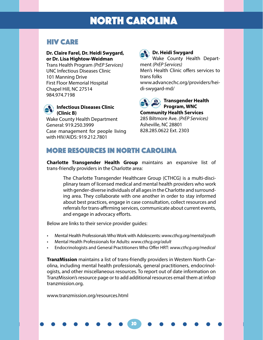# HIV CARE

### **Dr. Claire Farel, Dr. Heidi Swygard, or Dr. Lisa Hightow-Weidman**

Trans Health Program *(PrEP Services)* UNC Infectious Diseases Clinic 101 Manning Drive First Floor Memorial Hospital Chapel Hill, NC 27514 984.974.7198



Wake County Health Department General: 919.250.3999 Case management for people living with HIV/AIDS: 919.212.7801

# **Dr. Heidi Swygard**

Wake County Health Department *(PrEP Services)* Men's Health Clinic offers services to trans folks

www.advancechc.org/providers/heidi-swygard-md/



**Community Health Services** 285 Biltmore Ave. *(PrEP Services)* Asheville, NC 28801 828.285.0622 Ext. 2303

# MOre resources in north carolina

**Charlotte Transgender Health Group** maintains an expansive list of trans-friendly providers in the Charlotte area:

The Charlotte Transgender Healthcare Group (CTHCG) is a multi-disciplinary team of licensed medical and mental health providers who work with gender-diverse individuals of all ages in the Charlotte and surrounding area. They collaborate with one another in order to stay informed about best practices, engage in case consultation, collect resources and referrals for trans-affirming services, communicate about current events, and engage in advocacy efforts.

Below are links to their service provider guides:

- Mental Health Professionals Who Work with Adolescents: *www.cthcg.org/mental/youth*
- Mental Health Professionals for Adults: *www.cthcg.org/adult*
- Endocrinologists and General Practitioners Who Offer HRT: *www.cthcg.org/medical*

**TranzMission** maintains a list of trans-friendly providers in Western North Carolina, including mental health professionals, general practitioners, endocrinologists, and other miscellaneous resources. To report out of date information on TranzMission's resource page or to add additional resources email them at info@ tranzmission.org.

20

www.tranzmission.org/resources.html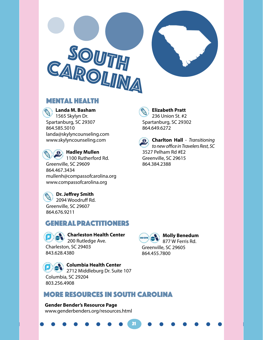

# Mental Health

**Landa M. Basham**

1565 Skylyn Dr. Spartanburg, SC 29307 864.585.5010 landa@skylyncounseling.com www.skylyncounseling.com



# **Hadley Mullen**

1100 Rutherford Rd. Greenville, SC 29609 864.467.3434 mullenh@compassofcarolina.org www.compassofcarolina.org

# **Dr. Jeffrey Smith**

2094 Woodruff Rd. Greenville, SC 29607 864.676.9211

# GENERAL Practitioners

**Charleston Health Center** 200 Rutledge Ave. Charleston, SC 29403 843.628.4380

> **Columbia Health Center** 2712 Middleburg Dr. Suite 107

Columbia, SC 29204 803.256.4908

# MOre resources in SOUth carolina

21

**Gender Bender's Resource Page** www.genderbenders.org/resources.html

**Elizabeth Pratt**  236 Union St. #2 Spartanburg, SC 29302 864.649.6272



**Charlton Hall** - *Transitioning to new office in Travelers Rest, SC*  3527 Pelham Rd #E2 Greenville, SC 29615 864.384.2388

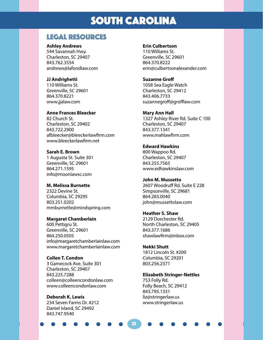# SOUTH CAROLINA

# LEGAL RESOURCES

### **Ashley Andrews**

544 Savannah Hwy. Charleston, SC 29407 843.762.3554 andrews@lafondlaw.com

# **JJ Andrighetti**

110 Williams St. Greenville, SC 29601 864.370.8221 www.jjalaw.com

# **Anne Frances Bleecker**

82 Church St. Charleston, SC 29402 843.722.2900 afbleecker@bleeckerlawfirm.com www.bleeckerlawfirm.net

# **Sarah E. Brown**

1 Augusta St. Suite 301 Greenville, SC 29601 864.271.1595 info@moonlawsc.com

# **M. Melissa Burnette**

2322 Devine St. Columbia, SC 29295 803.251.0202 mmburnette@mindspring.com

# **Margaret Chamberlain**

600 Pettigru St. Greenville, SC 29601 864.250.0505 info@margaretchamberlainlaw.com www.margaretchamberlainlaw.com

# **Collen T. Condon**

3 Gamecock Ave. Suite 301 Charleston, SC 29407 843.225.7288 colleen@colleencondonlaw.com www.colleencondonlaw.com

# **Deborah K. Lewis**

234 Seven Farms Dr. #212 Daniel Island, SC 29492 843.747.9540

# **Erin Culbertson**

110 Williams St. Greenville, SC 29601 864.370.8222 erin@culbertsonalexander.com

# **Suzanne Groff** 1058 Sea Eagle Watch Charleston, SC 29412 843.406.7733

suzannegroff@grofflaw.com

**Mary Ann Hall**  1327 Ashley River Rd. Suite C 100 Charleston, SC 29407 843.377.1341 www.mahlawfirm.com

# **Edward Hawkins**

800 Wappoo Rd. Charleston, SC 29407 843.255.7565 www.edhawkinslaw.com

### **John M. Mussetto**  2607 Woodruff Rd. Suite E 228 Simpsonville, SC 29681

864.283.0040 john@mussettolaw.com

# **Heather S. Shaw**

2129 Dorchester Rd. North Charleston, SC 29405 843.377.1686 shawlawfirm@inbox.com

# **Nekki Shutt**

1812 Lincoln St. #200 Columbia, SC 29201 803.256.2371

# **Elizabeth Stringer-Nettles**

753 Folly Rd. Folly Beach, SC 29412 843.795.1331 liz@stringerlaw.us www.stringerlaw.us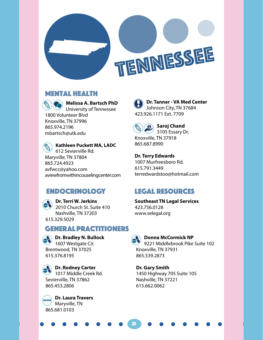

# TENNESSEE

# Mental Health



# **Melissa A. Bartsch PhD**

University of Tennessee 1800 Volunteer Blvd Knoxville, TN 37996 865.974.2196 mbartsch@utk.edu

**Kathleen Puckett MA, LADC** 612 Sevierville Rd. Maryville, TN 37804 865.724.4923 avfwcc@yahoo.com aviewfromwithincouselingcenter.com

# ENDOCRINOLOGY

**Dr. Terri W. Jerkins** 2010 Church St. Suite 410 Nashville, TN 37203 615.329.5029

# GENERAL Practitioners

**Dr. Bradley N. Bullock** 1607 Westgate Cir. Brentwood, TN 37025 615.376.8195

**Dr. Rodney Carter** 1017 Middle Creek Rd. Sevierville, TN 37862 865.453.2806

**Dr. Laura Travers OR/C/D** Maryville, TN 865.681.0103

**Dr. Tanner - VA Med Center**  Johnson City, TN 37684 423.926.1171 Ext. 7709



**Saroj Chand**  3105 Essary Dr.

Knoxville, TN 37918 865.687.8990

**Dr. Terry Edwards** 1007 Murfreesboro Rd. 615.791.3449 terredwardstoo@hotmail.com

# LEGAL RESOURCES

# **Southeast TN Legal Services** 423.756.0128

www.selegal.org



23

# **Donna McCormick NP**

9221 Middlebrook Pike Suite 102 Knoxville, TN 37931 865.539.2873

**Dr. Gary Smith** 1450 Highway 705 Suite 105 Nashville, TN 37221 615.662.0062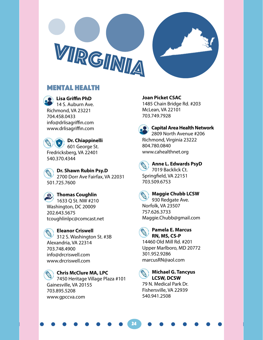

# Mental Health

**Lisa Griffin PhD**  14 S. Auburn Ave. Richmond, VA 23221 704.458.0433 info@drlisagriffin.com www.drlisagriffin.com

**Dr. Chiappinelli** 601 George St. Fredricksberg, VA 22401 540.370.4344

**Dr. Shawn Rubin Psy.D** 2700 Dorr Ave Fairfax, VA 22031 501.725.7600

**R** Thomas Coughlin 1633 Q St. NW #210 Washington, DC 20009 202.643.5675 tcoughlinlpc@comcast.net

**Eleanor Criswell** 312 S. Washington St. #3B Alexandria, VA 22314 703.748.4900 info@drcriswell.com www.drcriswell.com

# **Chris McClure MA, LPC** 7450 Heritage Village Plaza #101 Gainesville, VA 20155 703.895.5208 www.gpccva.com

**Joan Picket CSAC**  1485 Chain Bridge Rd. #203 McLean, VA 22101 703.749.7928



**Capital Area Health Network** 2809 North Avenue #206 Richmond, Virginia 23222 804.780.0840

# **Anne L. Edwards PsyD**

7019 Backlick Ct. Springfield, VA 22151 703.509.6753

www.cahealthnet.org

**Maggie Chubb LCSW**  930 Redgate Ave. Norfolk, VA 23507 757.626.3733



# **Pamela E. Marcus RN, MS, CS-P**

Maggie.Chubb@gmail.com

14460 Old Mill Rd. #201 Upper Marlboro, MD 20772 301.952.9286 marcusRN@aol.com



24

# **Michael G. Tancyus LCSW, DCSW**

79 N. Medical Park Dr. Fishersville, VA 22939 540.941.2508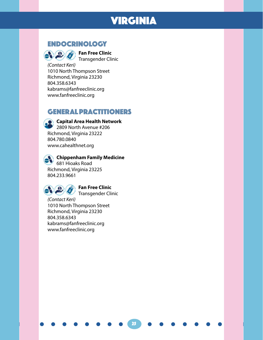# VIRGINIA

25

# ENDOCRINOLOGY



**Fan Free Clinic** Transgender Clinic

*(Contact Keri)* 1010 North Thompson Street Richmond, Virginia 23230 804.358.6343 kabrams@fanfreeclinic.org www.fanfreeclinic.org

# GENERAL Practitioners

# **Capital Area Health Network**

2809 North Avenue #206 Richmond, Virginia 23222 804.780.0840 www.cahealthnet.org

# **Chippenham Family Medicine**

681 Hioaks Road Richmond, Virginia 23225 804.233.9661



# **Fan Free Clinic**

Transgender Clinic

*(Contact Keri)* 1010 North Thompson Street Richmond, Virginia 23230 804.358.6343 kabrams@fanfreeclinic.org www.fanfreeclinic.org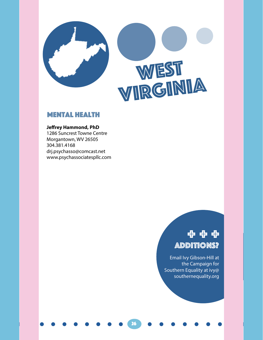

# WEST<br>VIRGINIA

# Mental Health

# **Jeffrey Hammond, PhD**

1286 Suncrest Towne Centre Morgantown, WV 26505 304.381.4168 drj.psychasso@comcast.net www.psychassociatespllc.com

# Additions? + + +

Email Ivy Gibson-Hill at the Campaign for Southern Equality at ivy@ southernequality.org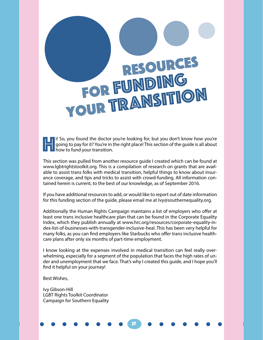# RESOURCES FOR FUNDING YOUR TRANSITION

**Hi** So, you found the doctor you're looking for, but you don't know how you're going to pay for it? You're in the right place! This section of the guide is all about how to fund your transition. going to pay for it? You're in the right place! This section of the guide is all about how to fund your transition.

This section was pulled from another resource guide I created which can be found at www.lgbtrightstoolkit.org. This is a compilation of research on grants that are available to assist trans folks with medical transition, helpful things to know about insurance coverage, and tips and tricks to assist with crowd-funding. All information contained herein is current, to the best of our knowledge, as of September 2016.

If you have additional resources to add, or would like to report out of date information for this funding section of the guide, please email me at Ivy@southernequality.org.

Additionally the Human Rights Campaign maintains a list of employers who offer at least one trans inclusive healthcare plan that can be found in the Corporate Equality Index, which they publish annually at www.hrc.org/resources/corporate-equality-index-list-of-businesses-with-transgender-inclusive-heal. This has been very helpful for many folks, as you can find employers like Starbucks who offer trans inclusive healthcare plans after only six months of part-time employment.

I know looking at the expenses involved in medical transition can feel really overwhelming, especially for a segment of the population that faces the high rates of under and unemployment that we face. That's why I created this guide, and I hope you'll find it helpful on your journey!

27

Best Wishes,

Ivy Gibson-Hill LGBT Rights Toolkit Coordinator Campaign for Southern Equality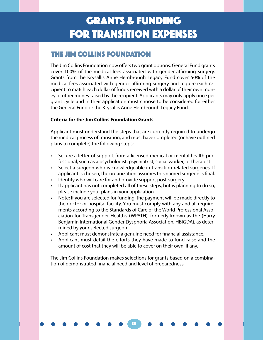# THE JIM COLLINS FOUNDATION

The Jim Collins Foundation now offers two grant options. General Fund grants cover 100% of the medical fees associated with gender-affirming surgery. Grants from the Krysallis Anne Hembrough Legacy Fund cover 50% of the medical fees associated with gender-affirming surgery and require each recipient to match each dollar of funds received with a dollar of their own money or other money raised by the recipient. Applicants may only apply once per grant cycle and in their application must choose to be considered for either the General Fund or the Krysallis Anne Hembrough Legacy Fund.

# **Criteria for the Jim Collins Foundation Grants**

Applicant must understand the steps that are currently required to undergo the medical process of transition, and must have completed (or have outlined plans to complete) the following steps:

- Secure a letter of support from a licensed medical or mental health professional, such as a psychologist, psychiatrist, social worker, or therapist.
- Select a surgeon who is knowledgeable in transition-related surgeries. If applicant is chosen, the organization assumes this named surgeon is final.
- Identify who will care for and provide support post-surgery.
- If applicant has not completed all of these steps, but is planning to do so, please include your plans in your application.
- Note: If you are selected for funding, the payment will be made directly to the doctor or hospital facility. You must comply with any and all requirements according to the Standards of Care of the World Professional Association for Transgender Health's (WPATH), formerly known as the (Harry Benjamin International Gender Dysphoria Association, HBIGDA), as determined by your selected surgeon.
- Applicant must demonstrate a genuine need for financial assistance.
- Applicant must detail the efforts they have made to fund-raise and the amount of cost that they will be able to cover on their own, if any.

The Jim Collins Foundation makes selections for grants based on a combination of demonstrated financial need and level of preparedness.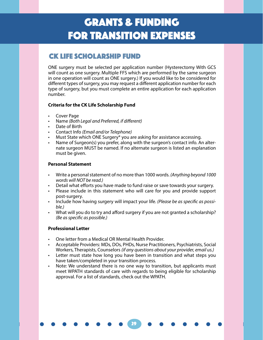# CK LIFE SCHOLARSHIP FUND

ONE surgery must be selected per application number (Hysterectomy With GCS will count as one surgery. Multiple FFS which are performed by the same surgeon in one operation will count as ONE surgery.) If you would like to be considered for different types of surgery, you may request a different application number for each type of surgery, but you must complete an entire application for each application number.

# **Criteria for the CK Life Scholarship Fund**

- Cover Page
- Name *(Both Legal and Preferred, if different)*
- Date of Birth
- Contact Info *(Email and/or Telephone)*
- Must State which ONE Surgery\* you are asking for assistance accessing.
- Name of Surgeon(s) you prefer, along with the surgeon's contact info. An alternate surgeon MUST be named. If no alternate surgeon is listed an explanation must be given.

# **Personal Statement**

- Write a personal statement of no more than 1000 words. *(Anything beyond 1000 words will NOT be read.)*
- Detail what efforts you have made to fund raise or save towards your surgery.
- Please include in this statement who will care for you and provide support post-surgery.
- Include how having surgery will impact your life. *(Please be as specific as possible.)*
- What will you do to try and afford surgery if you are not granted a scholarship? *(Be as specific as possible.)*

# **Professional Letter**

- One letter from a Medical OR Mental Health Provider.
- Acceptable Providers: MDs, DOs, PHDs, Nurse Practitioners, Psychiatrists, Social Workers, Therapists, Counselors *(if any questions about your provider, email us.)*
- Letter must state how long you have been in transition and what steps you have taken/completed in your transition process.
- Note: We understand there is no one way to transition, but applicants must meet WPATH standards of care with regards to being eligible for scholarship approval. For a list of standards, check out the WPATH.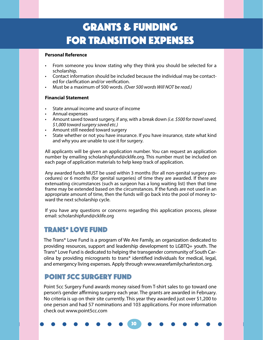### **Personal Reference**

- From someone you know stating why they think you should be selected for a scholarship.
- Contact information should be included because the individual may be contacted for clarification and/or verification.
- Must be a maximum of 500 words. *(Over 500 words Will NOT be read.)*

# **Financial Statement**

- State annual income and source of income
- Annual expenses
- Amount saved toward surgery, if any, with a break down *(i.e. \$500 for travel saved, \$1,000 toward surgery saved etc.)*
- Amount still needed toward surgery
- State whether or not you have insurance. If you have insurance, state what kind and why you are unable to use it for surgery.

All applicants will be given an application number. You can request an application number by emailing scholarshipfund@cklife.org. This number must be included on each page of application materials to help keep track of application.

Any awarded funds MUST be used within 3 months (for all non-genital surgery procedures) or 6 months (for genital surgeries) of time they are awarded. If there are extenuating circumstances (such as surgeon has a long waiting list) then that time frame may be extended based on the circumstances. If the funds are not used in an appropriate amount of time, then the funds will go back into the pool of money toward the next scholarship cycle.

If you have any questions or concerns regarding this application process, please email: scholarshipfund@cklife.org

# Trans\* Love Fund

The Trans\* Love Fund is a program of We Are Family, an organization dedicated to providing resources, support and leadership development to LGBTQ+ youth. The Trans\* Love Fund is dedicated to helping the transgender community of South Carolina by providing microgrants to trans\* identified individuals for medical, legal, and emergency living expenses. Apply through www.wearefamilycharleston.org.

# Point 5cc surgery fund

Point 5cc Surgery Fund awards money raised from T-shirt sales to go toward one person's gender affirming surgery each year. The grants are awarded in February. No criteria is up on their site currently. This year they awarded just over \$1,200 to one person and had 57 nominations and 103 applications. For more information check out www.point5cc.com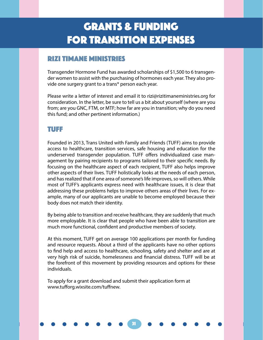# Rizi Timane Ministries

Transgender Hormone Fund has awarded scholarships of \$1,500 to 6 transgender women to assist with the purchasing of hormones each year. They also provide one surgery grant to a trans\* person each year.

Please write a letter of interest and email it to rizi@rizitimaneministries.org for consideration. In the letter, be sure to tell us a bit about yourself (where are you from; are you GNC, FTM, or MTF; how far are you in transition; why do you need this fund; and other pertinent information.)

# TUFF

Founded in 2013, Trans United with Family and Friends (TUFF) aims to provide access to healthcare, transition services, safe housing and education for the underserved transgender population. TUFF offers individualized case management by pairing recipients to programs tailored to their specific needs. By focusing on the healthcare aspect of each recipient, TUFF also helps improve other aspects of their lives. TUFF holistically looks at the needs of each person, and has realized that if one area of someone's life improves, so will others. While most of TUFF's applicants express need with healthcare issues, it is clear that addressing these problems helps to improve others areas of their lives. For example, many of our applicants are unable to become employed because their body does not match their identity.

By being able to transition and receive healthcare, they are suddenly that much more employable. It is clear that people who have been able to transition are much more functional, confident and productive members of society.

At this moment, TUFF get on average 100 applications per month for funding and resource requests. About a third of the applicants have no other options to find help and access to healthcare, schooling, safety and shelter and are at very high risk of suicide, homelessness and financial distress. TUFF will be at the forefront of this movement by providing resources and options for these individuals.

31

To apply for a grant download and submit their application form at www.tufforg.wixsite.com/tuffnew.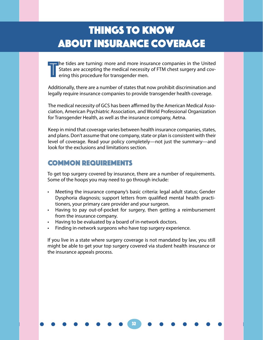# Things to Know About Insurance Coverage

T he tides are turning: more and more insurance companies in the United States are accepting the medical necessity of FTM chest surgery and covering this procedure for transgender men.

Additionally, there are a number of states that now prohibit discrimination and legally require insurance companies to provide transgender health coverage.

The medical necessity of GCS has been affirmed by the American Medical Association, American Psychiatric Association, and World Professional Organization for Transgender Health, as well as the insurance company, Aetna.

Keep in mind that coverage varies between health insurance companies, states, and plans. Don't assume that one company, state or plan is consistent with their level of coverage. Read your policy completely—not just the summary—and look for the exclusions and limitations section.

# COMMON REQUIREMENTS

To get top surgery covered by insurance, there are a number of requirements. Some of the hoops you may need to go through include:

- Meeting the insurance company's basic criteria: legal adult status; Gender Dysphoria diagnosis; support letters from qualified mental health practitioners, your primary care provider and your surgeon.
- Having to pay out-of-pocket for surgery, then getting a reimbursement from the insurance company.
- Having to be evaluated by a board of in-network doctors.
- Finding in-network surgeons who have top surgery experience.

If you live in a state where surgery coverage is not mandated by law, you still might be able to get your top surgery covered via student health insurance or the insurance appeals process.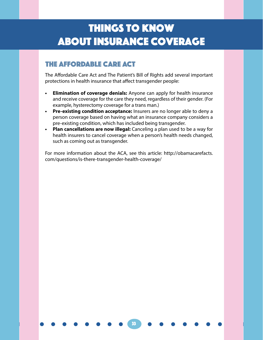# Things to Know About Insurance Coverage

# THE AFFORDABLE CARE ACT

The Affordable Care Act and The Patient's Bill of Rights add several important protections in health insurance that affect transgender people:

- **• Elimination of coverage denials:** Anyone can apply for health insurance and receive coverage for the care they need, regardless of their gender. (For example, hysterectomy coverage for a trans man.)
- **• Pre-existing condition acceptance:** Insurers are no longer able to deny a person coverage based on having what an insurance company considers a pre-existing condition, which has included being transgender.
- **• Plan cancellations are now illegal:** Canceling a plan used to be a way for health insurers to cancel coverage when a person's health needs changed, such as coming out as transgender.

For more information about the ACA, see this article: http://obamacarefacts. com/questions/is-there-transgender-health-coverage/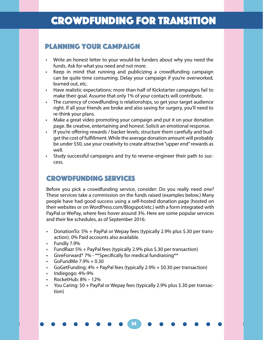# Planning Your Campaign

- Write an honest letter to your would-be funders about why you need the funds. Ask for what you need and not more.
- Keep in mind that running and publicizing a crowdfunding campaign can be quite time consuming. Delay your campaign if you're overworked, burned out, etc.
- Have realistic expectations: more than half of Kickstarter campaigns fail to make their goal. Assume that only 1% of your contacts will contribute.
- The currency of crowdfunding is relationships, so get your target audience right. If all your friends are broke and also saving for surgery, you'll need to re-think your plans.
- Make a great video promoting your campaign and put it on your donation page. Be creative, entertaining and honest. Solicit an emotional response.
- If you're offering rewards / backer levels, structure them carefully and budget the cost of fulfillment. While the average donation amount will probably be under \$50, use your creativity to create attractive "upper end" rewards as well.
- Study successful campaigns and try to reverse-engineer their path to success.

# CROWDFUNDING SERVICES

Before you pick a crowdfunding service, consider: Do you really need one? These services take a commission on the funds raised (examples below.) Many people have had good success using a self-hosted donation page (hosted on their websites or on WordPress.com/Blogspot/etc.) with a form integrated with PayPal or WePay, where fees hover around 3%. Here are some popular services and their fee schedules, as of September 2016:

- DonationTo: 5% + PayPal or Wepay fees (typically 2.9% plus \$.30 per transaction). 0% Paid accounts also available.
- Fundly 7.9%
- FundRazr 5% + PayPal fees (typically 2.9% plus \$.30 per transaction)
- GiveForward\* 7% \*\*Specifically for medical fundraising\*\*
- GoFundMe  $7.9% + 0.30$
- GoGetFunding: 4% + PayPal fees (typically 2.9% + \$0.30 per transaction)
- Indiegogo: 4%-9%
- RocketHub: 8% 12%
- You Caring: \$0 + PayPal or Wepay fees (typically 2.9% plus \$.30 per transaction)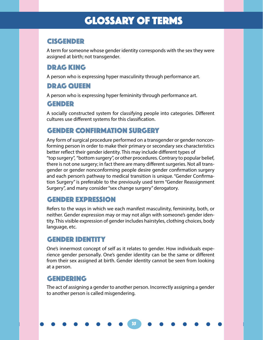# GLOSSARY OF TERMS

# CISGENDER

A term for someone whose gender identity corresponds with the sex they were assigned at birth; not transgender.

# DRAG KING

A person who is expressing hyper masculinity through performance art.

# DRAG QUEEN

A person who is expressing hyper femininity through performance art.

# GENDER

A socially constructed system for classifying people into categories. Different cultures use different systems for this classification.

# GENDER CONFIRMATION SURGERY

Any form of surgical procedure performed on a transgender or gender nonconforming person in order to make their primary or secondary sex characteristics better reflect their gender identity. This may include different types of "top surgery", "bottom surgery", or other procedures. Contrary to popular belief, there is not one surgery; in fact there are many different surgeries. Not all transgender or gender nonconforming people desire gender confirmation surgery and each person's pathway to medical transition is unique. "Gender Confirmation Surgery" is preferable to the previously used term "Gender Reassignment Surgery", and many consider "sex change surgery" derogatory.

# GENDER EXPRESSION

Refers to the ways in which we each manifest masculinity, femininity, both, or neither. Gender expression may or may not align with someone's gender identity. This visible expression of gender includes hairstyles, clothing choices, body language, etc.

# GENDER IDENTITY

One's innermost concept of self as it relates to gender. How individuals experience gender personally. One's gender identity can be the same or different from their sex assigned at birth. Gender identity cannot be seen from looking at a person.

# GENDERING

The act of assigning a gender to another person. Incorrectly assigning a gender to another person is called misgendering.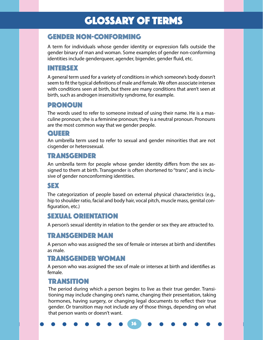# GLOSSARY OF TERMS

# GENDER NOn-CONFORMING

A term for individuals whose gender identity or expression falls outside the gender binary of man and woman. Some examples of gender non-conforming identities include genderqueer, agender, bigender, gender fluid, etc.

# INTERSEX

A general term used for a variety of conditions in which someone's body doesn't seem to fit the typical definitions of male and female. We often associate intersex with conditions seen at birth, but there are many conditions that aren't seen at birth, such as androgen insensitivity syndrome, for example.

# PRONOUN

The words used to refer to someone instead of using their name. He is a masculine pronoun; she is a feminine pronoun; they is a neutral pronoun. Pronouns are the most common way that we gender people.

# QUEER

An umbrella term used to refer to sexual and gender minorities that are not cisgender or heterosexual.

# TRANSGENDER

An umbrella term for people whose gender identity differs from the sex assigned to them at birth. Transgender is often shortened to "trans", and is inclusive of gender nonconforming identities.

# SEX

The categorization of people based on external physical characteristics (e.g., hip to shoulder ratio, facial and body hair, vocal pitch, muscle mass, genital configuration, etc.)

# SEXUAL ORIENTATION

A person's sexual identity in relation to the gender or sex they are attracted to.

# TRANSGENDER MAN

A person who was assigned the sex of female or intersex at birth and identifies as male.

# TRANSGENDER WOMAN

A person who was assigned the sex of male or intersex at birth and identifies as female.

# **TRANSITION**

The period during which a person begins to live as their true gender. Transitioning may include changing one's name, changing their presentation, taking hormones, having surgery, or changing legal documents to reflect their true gender. Or transition may not include any of those things, depending on what that person wants or doesn't want.

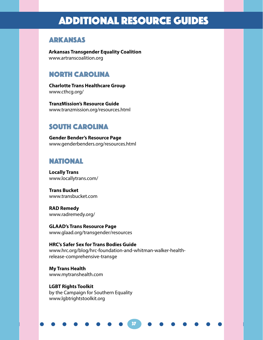# ADDITIONAL RESOURCE GUIDES

# ARKANSAS

**Arkansas Transgender Equality Coalition** www.artranscoalition.org

# NORTH CAROLINA

**Charlotte Trans Healthcare Group** www.cthcg.org/

**TranzMission's Resource Guide**  www.tranzmission.org/resources.html

# SOUTH CAROLINA

**Gender Bender's Resource Page** www.genderbenders.org/resources.html

# NATIONAL

**Locally Trans** www.locallytrans.com/

**Trans Bucket** www.transbucket.com

**RAD Remedy** www.radremedy.org/

**GLAAD's Trans Resource Page** www.glaad.org/transgender/resources

**HRC's Safer Sex for Trans Bodies Guide**  www.hrc.org/blog/hrc-foundation-and-whitman-walker-healthrelease-comprehensive-transge

37

**My Trans Health** www.mytranshealth.com

**LGBT Rights Toolkit** by the Campaign for Southern Equality www.lgbtrightstoolkit.org